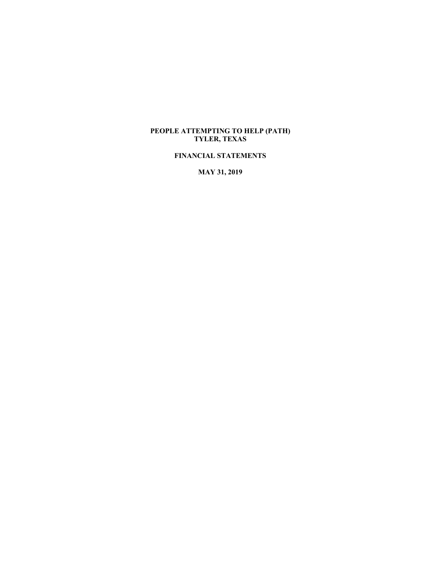# **PEOPLE ATTEMPTING TO HELP (PATH) TYLER, TEXAS**

# **FINANCIAL STATEMENTS**

**MAY 31, 2019**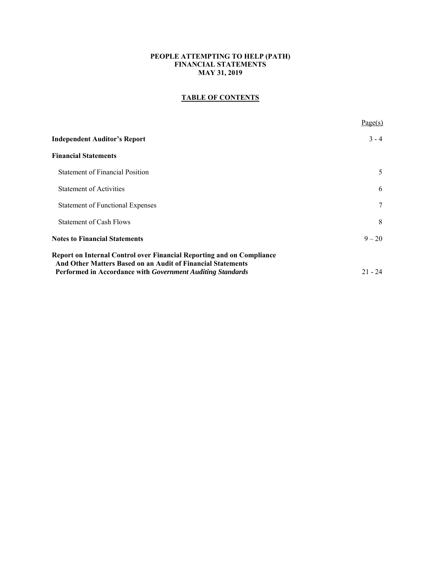# **TABLE OF CONTENTS**

|                                                                                                                           | Page(s)   |
|---------------------------------------------------------------------------------------------------------------------------|-----------|
| Independent Auditor's Report                                                                                              | $3 - 4$   |
| <b>Financial Statements</b>                                                                                               |           |
| <b>Statement of Financial Position</b>                                                                                    | 5         |
| <b>Statement of Activities</b>                                                                                            | 6         |
| <b>Statement of Functional Expenses</b>                                                                                   | 7         |
| <b>Statement of Cash Flows</b>                                                                                            | 8         |
| <b>Notes to Financial Statements</b>                                                                                      | $9 - 20$  |
| Report on Internal Control over Financial Reporting and on Compliance                                                     |           |
| And Other Matters Based on an Audit of Financial Statements<br>Performed in Accordance with Government Auditing Standards | $21 - 24$ |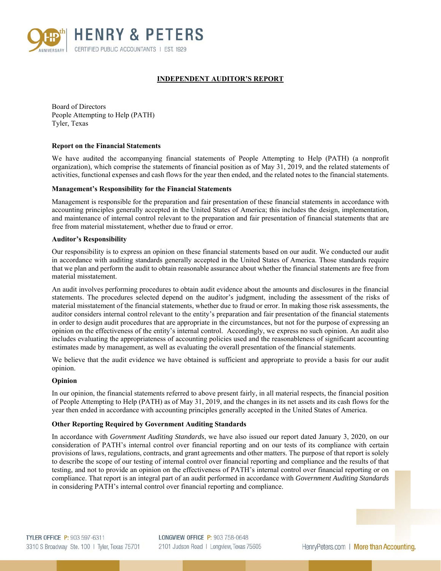

# **INDEPENDENT AUDITOR'S REPORT**

Board of Directors People Attempting to Help (PATH) Tyler, Texas

### **Report on the Financial Statements**

We have audited the accompanying financial statements of People Attempting to Help (PATH) (a nonprofit organization), which comprise the statements of financial position as of May 31, 2019, and the related statements of activities, functional expenses and cash flows for the year then ended, and the related notes to the financial statements.

#### **Management's Responsibility for the Financial Statements**

Management is responsible for the preparation and fair presentation of these financial statements in accordance with accounting principles generally accepted in the United States of America; this includes the design, implementation, and maintenance of internal control relevant to the preparation and fair presentation of financial statements that are free from material misstatement, whether due to fraud or error.

#### **Auditor's Responsibility**

Our responsibility is to express an opinion on these financial statements based on our audit. We conducted our audit in accordance with auditing standards generally accepted in the United States of America. Those standards require that we plan and perform the audit to obtain reasonable assurance about whether the financial statements are free from material misstatement.

An audit involves performing procedures to obtain audit evidence about the amounts and disclosures in the financial statements. The procedures selected depend on the auditor's judgment, including the assessment of the risks of material misstatement of the financial statements, whether due to fraud or error. In making those risk assessments, the auditor considers internal control relevant to the entity's preparation and fair presentation of the financial statements in order to design audit procedures that are appropriate in the circumstances, but not for the purpose of expressing an opinion on the effectiveness of the entity's internal control. Accordingly, we express no such opinion. An audit also includes evaluating the appropriateness of accounting policies used and the reasonableness of significant accounting estimates made by management, as well as evaluating the overall presentation of the financial statements.

We believe that the audit evidence we have obtained is sufficient and appropriate to provide a basis for our audit opinion.

### **Opinion**

In our opinion, the financial statements referred to above present fairly, in all material respects, the financial position of People Attempting to Help (PATH) as of May 31, 2019, and the changes in its net assets and its cash flows for the year then ended in accordance with accounting principles generally accepted in the United States of America.

### **Other Reporting Required by Government Auditing Standards**

In accordance with *Government Auditing Standards*, we have also issued our report dated January 3, 2020, on our consideration of PATH's internal control over financial reporting and on our tests of its compliance with certain provisions of laws, regulations, contracts, and grant agreements and other matters. The purpose of that report is solely to describe the scope of our testing of internal control over financial reporting and compliance and the results of that testing, and not to provide an opinion on the effectiveness of PATH's internal control over financial reporting or on compliance. That report is an integral part of an audit performed in accordance with *Government Auditing Standards* in considering PATH's internal control over financial reporting and compliance.

**LONGVIEW OFFICE P: 903 758-0648** 2101 Judson Road | Longview, Texas 75605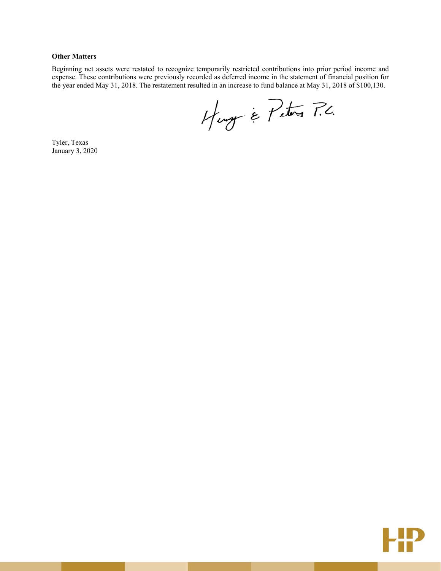# **Other Matters**

Beginning net assets were restated to recognize temporarily restricted contributions into prior period income and expense. These contributions were previously recorded as deferred income in the statement of financial position for the year ended May 31, 2018. The restatement resulted in an increase to fund balance at May 31, 2018 of \$100,130.

Hogy & Peters P.C.

Tyler, Texas January 3, 2020

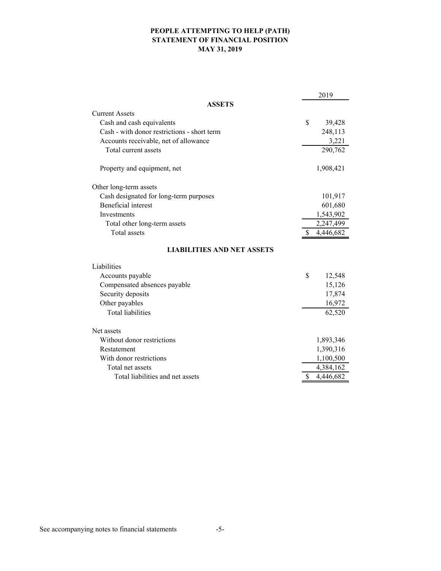# **PEOPLE ATTEMPTING TO HELP (PATH) STATEMENT OF FINANCIAL POSITION MAY 31, 2019**

|                                             | 2019            |
|---------------------------------------------|-----------------|
| <b>ASSETS</b>                               |                 |
| <b>Current Assets</b>                       |                 |
| Cash and cash equivalents                   | \$<br>39,428    |
| Cash - with donor restrictions - short term | 248,113         |
| Accounts receivable, net of allowance       | 3,221           |
| Total current assets                        | 290,762         |
| Property and equipment, net                 | 1,908,421       |
| Other long-term assets                      |                 |
| Cash designated for long-term purposes      | 101,917         |
| Beneficial interest                         | 601,680         |
| Investments                                 | 1,543,902       |
| Total other long-term assets                | 2,247,499       |
| <b>Total</b> assets                         | 4,446,682       |
| <b>LIABILITIES AND NET ASSETS</b>           |                 |
| Liabilities                                 |                 |
| Accounts payable                            | \$<br>12,548    |
| Compensated absences payable                | 15,126          |
| Security deposits                           | 17,874          |
| Other payables                              | 16,972          |
| <b>Total liabilities</b>                    | 62,520          |
| Net assets                                  |                 |
| Without donor restrictions                  | 1,893,346       |
| Restatement                                 | 1,390,316       |
| With donor restrictions                     | 1,100,500       |
| Total net assets                            | 4,384,162       |
| Total liabilities and net assets            | \$<br>4,446,682 |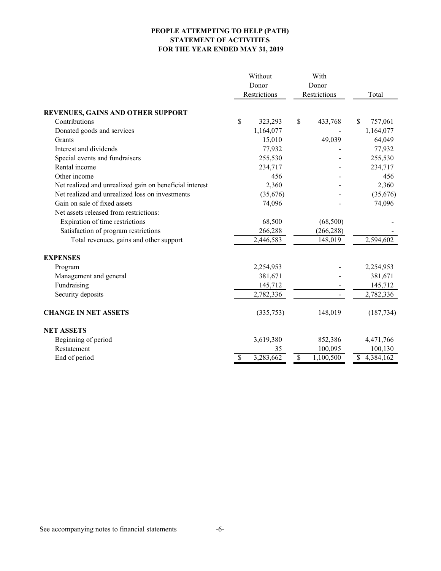# **PEOPLE ATTEMPTING TO HELP (PATH) STATEMENT OF ACTIVITIES FOR THE YEAR ENDED MAY 31, 2019**

|                                                         |              | Without<br>Donor<br>Restrictions |              | With<br>Donor<br>Restrictions | Total         |
|---------------------------------------------------------|--------------|----------------------------------|--------------|-------------------------------|---------------|
|                                                         |              |                                  |              |                               |               |
| <b>REVENUES, GAINS AND OTHER SUPPORT</b>                |              |                                  |              |                               |               |
| Contributions                                           | $\mathbb{S}$ | 323,293                          | \$           | 433,768                       | \$<br>757,061 |
| Donated goods and services                              |              | 1,164,077                        |              |                               | 1,164,077     |
| Grants                                                  |              | 15,010                           |              | 49,039                        | 64,049        |
| Interest and dividends                                  |              | 77,932                           |              |                               | 77,932        |
| Special events and fundraisers                          |              | 255,530                          |              |                               | 255,530       |
| Rental income                                           |              | 234,717                          |              |                               | 234,717       |
| Other income                                            |              | 456                              |              |                               | 456           |
| Net realized and unrealized gain on beneficial interest |              | 2,360                            |              |                               | 2,360         |
| Net realized and unrealized loss on investments         |              | (35,676)                         |              |                               | (35,676)      |
| Gain on sale of fixed assets                            |              | 74,096                           |              |                               | 74,096        |
| Net assets released from restrictions:                  |              |                                  |              |                               |               |
| Expiration of time restrictions                         |              | 68,500                           |              | (68,500)                      |               |
| Satisfaction of program restrictions                    |              | 266,288                          |              | (266, 288)                    |               |
| Total revenues, gains and other support                 |              | 2,446,583                        |              | 148,019                       | 2,594,602     |
| <b>EXPENSES</b>                                         |              |                                  |              |                               |               |
| Program                                                 |              | 2,254,953                        |              |                               | 2,254,953     |
| Management and general                                  |              | 381,671                          |              |                               | 381,671       |
| Fundraising                                             |              | 145,712                          |              |                               | 145,712       |
| Security deposits                                       |              | 2,782,336                        |              |                               | 2,782,336     |
| <b>CHANGE IN NET ASSETS</b>                             |              | (335,753)                        |              | 148,019                       | (187, 734)    |
| <b>NET ASSETS</b>                                       |              |                                  |              |                               |               |
| Beginning of period                                     |              | 3,619,380                        |              | 852,386                       | 4,471,766     |
| Restatement                                             |              | 35                               |              | 100,095                       | 100,130       |
| End of period                                           | $\mathbb{S}$ | 3,283,662                        | $\mathbb{S}$ | 1,100,500                     | \$4,384,162   |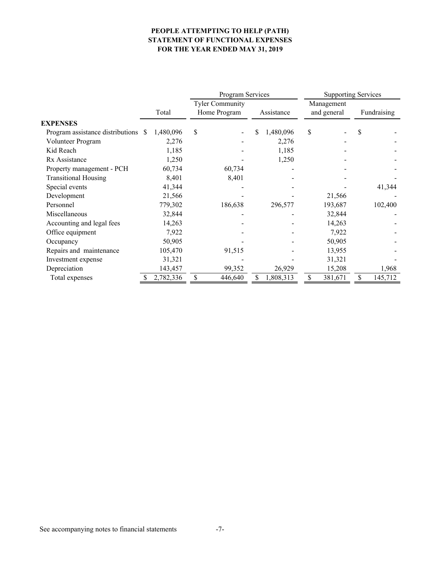# **PEOPLE ATTEMPTING TO HELP (PATH) STATEMENT OF FUNCTIONAL EXPENSES FOR THE YEAR ENDED MAY 31, 2019**

|                                  |                 | Program Services                       |                 |                           | <b>Supporting Services</b> |
|----------------------------------|-----------------|----------------------------------------|-----------------|---------------------------|----------------------------|
|                                  | Total           | <b>Tyler Community</b><br>Home Program | Assistance      | Management<br>and general | Fundraising                |
| <b>EXPENSES</b>                  |                 |                                        |                 |                           |                            |
| Program assistance distributions | 1,480,096<br>-S | \$                                     | 1,480,096<br>S  | S                         | S                          |
| Volunteer Program                | 2,276           |                                        | 2,276           |                           |                            |
| Kid Reach                        | 1,185           |                                        | 1,185           |                           |                            |
| Rx Assistance                    | 1,250           |                                        | 1,250           |                           |                            |
| Property management - PCH        | 60,734          | 60,734                                 |                 |                           |                            |
| <b>Transitional Housing</b>      | 8,401           | 8,401                                  |                 |                           |                            |
| Special events                   | 41,344          |                                        |                 |                           | 41,344                     |
| Development                      | 21,566          |                                        |                 | 21,566                    |                            |
| Personnel                        | 779,302         | 186,638                                | 296,577         | 193,687                   | 102,400                    |
| Miscellaneous                    | 32,844          |                                        |                 | 32,844                    |                            |
| Accounting and legal fees        | 14,263          |                                        |                 | 14,263                    |                            |
| Office equipment                 | 7,922           |                                        |                 | 7,922                     |                            |
| Occupancy                        | 50,905          |                                        |                 | 50,905                    |                            |
| Repairs and maintenance          | 105,470         | 91,515                                 |                 | 13,955                    |                            |
| Investment expense               | 31,321          |                                        |                 | 31,321                    |                            |
| Depreciation                     | 143,457         | 99,352                                 | 26,929          | 15,208                    | 1,968                      |
| Total expenses                   | 2,782,336       | \$<br>446,640                          | 1,808,313<br>\$ | \$<br>381,671             | \$<br>145,712              |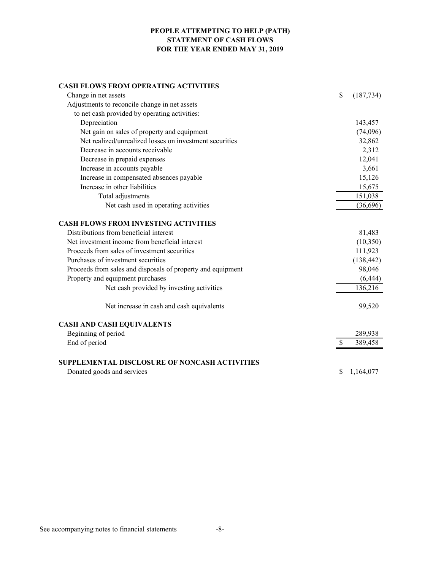# **PEOPLE ATTEMPTING TO HELP (PATH) STATEMENT OF CASH FLOWS FOR THE YEAR ENDED MAY 31, 2019**

# **CASH FLOWS FROM OPERATING ACTIVITIES**

| Change in net assets                                        | \$<br>(187, 734) |
|-------------------------------------------------------------|------------------|
| Adjustments to reconcile change in net assets               |                  |
| to net cash provided by operating activities:               |                  |
| Depreciation                                                | 143,457          |
| Net gain on sales of property and equipment                 | (74,096)         |
| Net realized/unrealized losses on investment securities     | 32,862           |
| Decrease in accounts receivable                             | 2,312            |
| Decrease in prepaid expenses                                | 12,041           |
| Increase in accounts payable                                | 3,661            |
| Increase in compensated absences payable                    | 15,126           |
| Increase in other liabilities                               | 15,675           |
| Total adjustments                                           | 151,038          |
| Net cash used in operating activities                       | (36,696)         |
| <b>CASH FLOWS FROM INVESTING ACTIVITIES</b>                 |                  |
| Distributions from beneficial interest                      | 81,483           |
| Net investment income from beneficial interest              | (10,350)         |
| Proceeds from sales of investment securities                | 111,923          |
| Purchases of investment securities                          | (138, 442)       |
| Proceeds from sales and disposals of property and equipment | 98,046           |
| Property and equipment purchases                            | (6, 444)         |
| Net cash provided by investing activities                   | 136,216          |
| Net increase in cash and cash equivalents                   | 99,520           |
| <b>CASH AND CASH EQUIVALENTS</b>                            |                  |
| Beginning of period                                         | 289,938          |
| End of period                                               | 389,458          |
| SUPPLEMENTAL DISCLOSURE OF NONCASH ACTIVITIES               |                  |
|                                                             | \$<br>1,164,077  |
| Donated goods and services                                  |                  |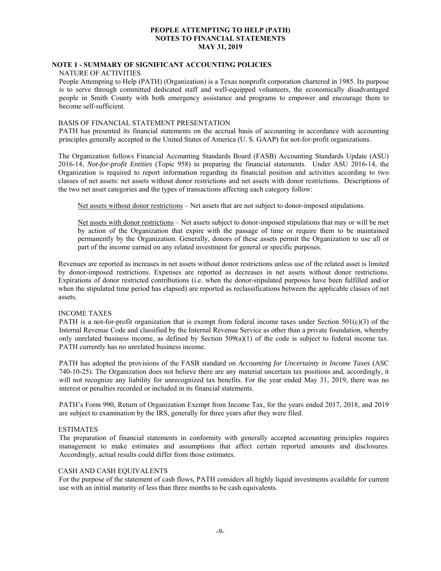## **NOTE 1 - SUMMARY OF SIGNIFICANT ACCOUNTING POLICIES**

### NATURE OF ACTIVITIES

People Attempting to Help (PATH) (Organization) is a Texas nonprofit corporation chartered in 1985. Its purpose is to serve through committed dedicated staff and well-equipped volunteers, the economically disadvantaged people in Smith County with both emergency assistance and programs to empower and encourage them to become self-sufficient.

## BASIS OF FINANCIAL STATEMENT PRESENTATION

PATH has presented its financial statements on the accrual basis of accounting in accordance with accounting principles generally accepted in the United States of America (U. S. GAAP) for not-for-profit organizations.

The Organization follows Financial Accounting Standards Board (FASB) Accounting Standards Update (ASU) 2016-14, *Not-for-profit Entities* (Topic 958) in preparing the financial statements. Under ASU 2016-14, the Organization is required to report information regarding its financial position and activities according to two classes of net assets: net assets without donor restrictions and net assets with donor restrictions. Descriptions of the two net asset categories and the types of transactions affecting each category follow:

Net assets without donor restrictions – Net assets that are not subject to donor-imposed stipulations.

Net assets with donor restrictions – Net assets subject to donor-imposed stipulations that may or will be met by action of the Organization that expire with the passage of time or require them to be maintained permanently by the Organization. Generally, donors of these assets permit the Organization to use all or part of the income earned on any related investment for general or specific purposes.

 Revenues are reported as increases in net assets without donor restrictions unless use of the related asset is limited by donor-imposed restrictions. Expenses are reported as decreases in net assets without donor restrictions. Expirations of donor restricted contributions (i.e. when the donor-stipulated purposes have been fulfilled and/or when the stipulated time period has elapsed) are reported as reclassifications between the applicable classes of net assets.

# INCOME TAXES

PATH is a not-for-profit organization that is exempt from federal income taxes under Section  $501(c)(3)$  of the Internal Revenue Code and classified by the Internal Revenue Service as other than a private foundation, whereby only unrelated business income, as defined by Section 509(a)(1) of the code is subject to federal income tax. PATH currently has no unrelated business income.

PATH has adopted the provisions of the FASB standard on *Accounting for Uncertainty in Income Taxes* (ASC 740-10-25). The Organization does not believe there are any material uncertain tax positions and, accordingly, it will not recognize any liability for unrecognized tax benefits. For the year ended May 31, 2019, there was no interest or penalties recorded or included in its financial statements.

PATH's Form 990, Return of Organization Exempt from Income Tax, for the years ended 2017, 2018, and 2019 are subject to examination by the IRS, generally for three years after they were filed.

# ESTIMATES

The preparation of financial statements in conformity with generally accepted accounting principles requires management to make estimates and assumptions that affect certain reported amounts and disclosures. Accordingly, actual results could differ from those estimates.

# CASH AND CASH EQUIVALENTS

For the purpose of the statement of cash flows, PATH considers all highly liquid investments available for current use with an initial maturity of less than three months to be cash equivalents.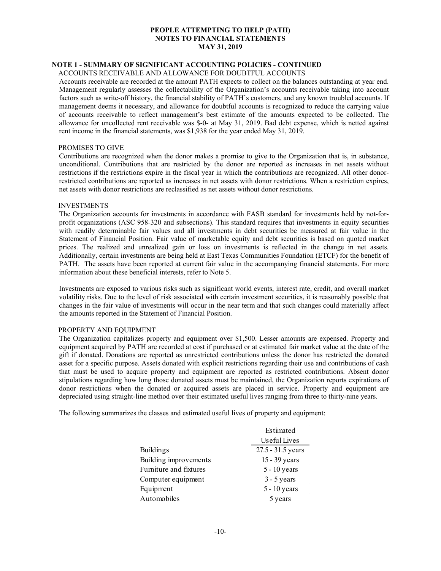# **NOTE 1 - SUMMARY OF SIGNIFICANT ACCOUNTING POLICIES - CONTINUED**

ACCOUNTS RECEIVABLE AND ALLOWANCE FOR DOUBTFUL ACCOUNTS

Accounts receivable are recorded at the amount PATH expects to collect on the balances outstanding at year end. Management regularly assesses the collectability of the Organization's accounts receivable taking into account factors such as write-off history, the financial stability of PATH's customers, and any known troubled accounts. If management deems it necessary, and allowance for doubtful accounts is recognized to reduce the carrying value of accounts receivable to reflect management's best estimate of the amounts expected to be collected. The allowance for uncollected rent receivable was \$-0- at May 31, 2019. Bad debt expense, which is netted against rent income in the financial statements, was \$1,938 for the year ended May 31, 2019.

### PROMISES TO GIVE

Contributions are recognized when the donor makes a promise to give to the Organization that is, in substance, unconditional. Contributions that are restricted by the donor are reported as increases in net assets without restrictions if the restrictions expire in the fiscal year in which the contributions are recognized. All other donorrestricted contributions are reported as increases in net assets with donor restrictions. When a restriction expires, net assets with donor restrictions are reclassified as net assets without donor restrictions.

### INVESTMENTS

The Organization accounts for investments in accordance with FASB standard for investments held by not-forprofit organizations (ASC 958-320 and subsections). This standard requires that investments in equity securities with readily determinable fair values and all investments in debt securities be measured at fair value in the Statement of Financial Position. Fair value of marketable equity and debt securities is based on quoted market prices. The realized and unrealized gain or loss on investments is reflected in the change in net assets. Additionally, certain investments are being held at East Texas Communities Foundation (ETCF) for the benefit of PATH. The assets have been reported at current fair value in the accompanying financial statements. For more information about these beneficial interests, refer to Note 5.

Investments are exposed to various risks such as significant world events, interest rate, credit, and overall market volatility risks. Due to the level of risk associated with certain investment securities, it is reasonably possible that changes in the fair value of investments will occur in the near term and that such changes could materially affect the amounts reported in the Statement of Financial Position.

## PROPERTY AND EQUIPMENT

The Organization capitalizes property and equipment over \$1,500. Lesser amounts are expensed. Property and equipment acquired by PATH are recorded at cost if purchased or at estimated fair market value at the date of the gift if donated. Donations are reported as unrestricted contributions unless the donor has restricted the donated asset for a specific purpose. Assets donated with explicit restrictions regarding their use and contributions of cash that must be used to acquire property and equipment are reported as restricted contributions. Absent donor stipulations regarding how long those donated assets must be maintained, the Organization reports expirations of donor restrictions when the donated or acquired assets are placed in service. Property and equipment are depreciated using straight-line method over their estimated useful lives ranging from three to thirty-nine years.

The following summarizes the classes and estimated useful lives of property and equipment:

|                        | Estimated           |
|------------------------|---------------------|
|                        | <b>Useful</b> Lives |
| <b>Buildings</b>       | 27.5 - 31.5 years   |
| Building improvements  | 15 - 39 years       |
| Furniture and fixtures | $5 - 10$ years      |
| Computer equipment     | $3 - 5$ years       |
| Equipment              | $5 - 10$ years      |
| Automobiles            | 5 years             |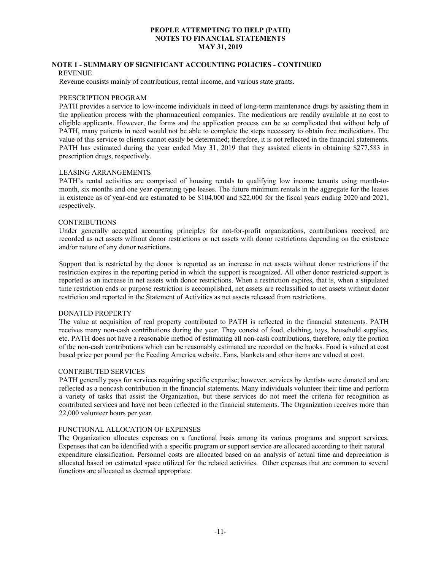### **NOTE 1 - SUMMARY OF SIGNIFICANT ACCOUNTING POLICIES - CONTINUED** REVENUE

Revenue consists mainly of contributions, rental income, and various state grants.

#### PRESCRIPTION PROGRAM

PATH provides a service to low-income individuals in need of long-term maintenance drugs by assisting them in the application process with the pharmaceutical companies. The medications are readily available at no cost to eligible applicants. However, the forms and the application process can be so complicated that without help of PATH, many patients in need would not be able to complete the steps necessary to obtain free medications. The value of this service to clients cannot easily be determined; therefore, it is not reflected in the financial statements. PATH has estimated during the year ended May 31, 2019 that they assisted clients in obtaining \$277,583 in prescription drugs, respectively.

### LEASING ARRANGEMENTS

PATH's rental activities are comprised of housing rentals to qualifying low income tenants using month-tomonth, six months and one year operating type leases. The future minimum rentals in the aggregate for the leases in existence as of year-end are estimated to be \$104,000 and \$22,000 for the fiscal years ending 2020 and 2021, respectively.

## **CONTRIBUTIONS**

Under generally accepted accounting principles for not-for-profit organizations, contributions received are recorded as net assets without donor restrictions or net assets with donor restrictions depending on the existence and/or nature of any donor restrictions.

Support that is restricted by the donor is reported as an increase in net assets without donor restrictions if the restriction expires in the reporting period in which the support is recognized. All other donor restricted support is reported as an increase in net assets with donor restrictions. When a restriction expires, that is, when a stipulated time restriction ends or purpose restriction is accomplished, net assets are reclassified to net assets without donor restriction and reported in the Statement of Activities as net assets released from restrictions.

### DONATED PROPERTY

The value at acquisition of real property contributed to PATH is reflected in the financial statements. PATH receives many non-cash contributions during the year. They consist of food, clothing, toys, household supplies, etc. PATH does not have a reasonable method of estimating all non-cash contributions, therefore, only the portion of the non-cash contributions which can be reasonably estimated are recorded on the books. Food is valued at cost based price per pound per the Feeding America website. Fans, blankets and other items are valued at cost.

### CONTRIBUTED SERVICES

PATH generally pays for services requiring specific expertise; however, services by dentists were donated and are reflected as a noncash contribution in the financial statements. Many individuals volunteer their time and perform a variety of tasks that assist the Organization, but these services do not meet the criteria for recognition as contributed services and have not been reflected in the financial statements. The Organization receives more than 22,000 volunteer hours per year.

### FUNCTIONAL ALLOCATION OF EXPENSES

 The Organization allocates expenses on a functional basis among its various programs and support services. Expenses that can be identified with a specific program or support service are allocated according to their natural expenditure classification. Personnel costs are allocated based on an analysis of actual time and depreciation is allocated based on estimated space utilized for the related activities. Other expenses that are common to several functions are allocated as deemed appropriate.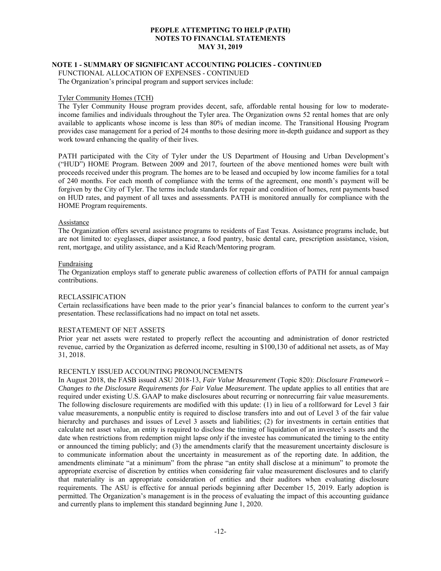#### **NOTE 1 - SUMMARY OF SIGNIFICANT ACCOUNTING POLICIES - CONTINUED**

 FUNCTIONAL ALLOCATION OF EXPENSES - CONTINUED The Organization's principal program and support services include:

#### Tyler Community Homes (TCH)

 The Tyler Community House program provides decent, safe, affordable rental housing for low to moderateincome families and individuals throughout the Tyler area. The Organization owns 52 rental homes that are only available to applicants whose income is less than 80% of median income. The Transitional Housing Program provides case management for a period of 24 months to those desiring more in-depth guidance and support as they work toward enhancing the quality of their lives.

PATH participated with the City of Tyler under the US Department of Housing and Urban Development's ("HUD") HOME Program. Between 2009 and 2017, fourteen of the above mentioned homes were built with proceeds received under this program. The homes are to be leased and occupied by low income families for a total of 240 months. For each month of compliance with the terms of the agreement, one month's payment will be forgiven by the City of Tyler. The terms include standards for repair and condition of homes, rent payments based on HUD rates, and payment of all taxes and assessments. PATH is monitored annually for compliance with the HOME Program requirements.

#### Assistance

 The Organization offers several assistance programs to residents of East Texas. Assistance programs include, but are not limited to: eyeglasses, diaper assistance, a food pantry, basic dental care, prescription assistance, vision, rent, mortgage, and utility assistance, and a Kid Reach/Mentoring program.

#### Fundraising

The Organization employs staff to generate public awareness of collection efforts of PATH for annual campaign contributions.

### RECLASSIFICATION

Certain reclassifications have been made to the prior year's financial balances to conform to the current year's presentation. These reclassifications had no impact on total net assets.

## RESTATEMENT OF NET ASSETS

Prior year net assets were restated to properly reflect the accounting and administration of donor restricted revenue, carried by the Organization as deferred income, resulting in \$100,130 of additional net assets, as of May 31, 2018.

## RECENTLY ISSUED ACCOUNTING PRONOUNCEMENTS

In August 2018, the FASB issued ASU 2018-13, *Fair Value Measurement* (Topic 820): *Disclosure Framework – Changes to the Disclosure Requirements for Fair Value Measurement*. The update applies to all entities that are required under existing U.S. GAAP to make disclosures about recurring or nonrecurring fair value measurements. The following disclosure requirements are modified with this update: (1) in lieu of a rollforward for Level 3 fair value measurements, a nonpublic entity is required to disclose transfers into and out of Level 3 of the fair value hierarchy and purchases and issues of Level 3 assets and liabilities; (2) for investments in certain entities that calculate net asset value, an entity is required to disclose the timing of liquidation of an investee's assets and the date when restrictions from redemption might lapse *only* if the investee has communicated the timing to the entity or announced the timing publicly; and (3) the amendments clarify that the measurement uncertainty disclosure is to communicate information about the uncertainty in measurement as of the reporting date. In addition, the amendments eliminate "at a minimum" from the phrase "an entity shall disclose at a minimum" to promote the appropriate exercise of discretion by entities when considering fair value measurement disclosures and to clarify that materiality is an appropriate consideration of entities and their auditors when evaluating disclosure requirements. The ASU is effective for annual periods beginning after December 15, 2019. Early adoption is permitted. The Organization's management is in the process of evaluating the impact of this accounting guidance and currently plans to implement this standard beginning June 1, 2020.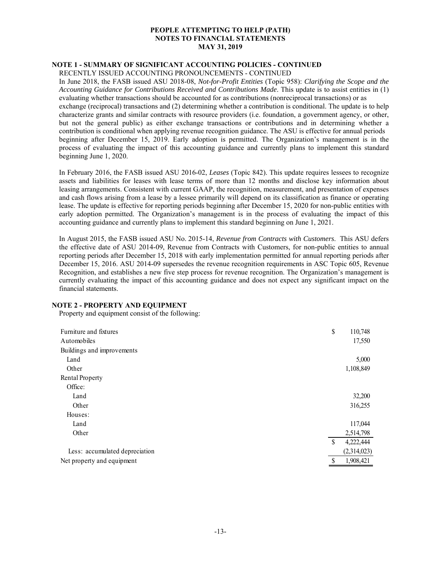### **NOTE 1 - SUMMARY OF SIGNIFICANT ACCOUNTING POLICIES - CONTINUED**

RECENTLY ISSUED ACCOUNTING PRONOUNCEMENTS - CONTINUED

In June 2018, the FASB issued ASU 2018-08, *Not-for-Profit Entities* (Topic 958): *Clarifying the Scope and the Accounting Guidance for Contributions Received and Contributions Made*. This update is to assist entities in (1) evaluating whether transactions should be accounted for as contributions (nonreciprocal transactions) or as exchange (reciprocal) transactions and (2) determining whether a contribution is conditional. The update is to help characterize grants and similar contracts with resource providers (i.e. foundation, a government agency, or other, but not the general public) as either exchange transactions or contributions and in determining whether a contribution is conditional when applying revenue recognition guidance. The ASU is effective for annual periods beginning after December 15, 2019. Early adoption is permitted. The Organization's management is in the process of evaluating the impact of this accounting guidance and currently plans to implement this standard beginning June 1, 2020.

In February 2016, the FASB issued ASU 2016-02, *Leases* (Topic 842). This update requires lessees to recognize assets and liabilities for leases with lease terms of more than 12 months and disclose key information about leasing arrangements. Consistent with current GAAP, the recognition, measurement, and presentation of expenses and cash flows arising from a lease by a lessee primarily will depend on its classification as finance or operating lease. The update is effective for reporting periods beginning after December 15, 2020 for non-public entities with early adoption permitted. The Organization's management is in the process of evaluating the impact of this accounting guidance and currently plans to implement this standard beginning on June 1, 2021.

In August 2015, the FASB issued ASU No. 2015-14, *Revenue from Contracts with Customers*. This ASU defers the effective date of ASU 2014-09, Revenue from Contracts with Customers, for non-public entities to annual reporting periods after December 15, 2018 with early implementation permitted for annual reporting periods after December 15, 2016. ASU 2014-09 supersedes the revenue recognition requirements in ASC Topic 605, Revenue Recognition, and establishes a new five step process for revenue recognition. The Organization's management is currently evaluating the impact of this accounting guidance and does not expect any significant impact on the financial statements.

# **NOTE 2 - PROPERTY AND EQUIPMENT**

Property and equipment consist of the following:

| Furniture and fixtures         | \$<br>110,748              |  |
|--------------------------------|----------------------------|--|
| Automobiles                    | 17,550                     |  |
| Buildings and improvements     |                            |  |
| Land                           | 5,000                      |  |
| Other                          | 1,108,849                  |  |
| Rental Property                |                            |  |
| Office:                        |                            |  |
| Land                           | 32,200                     |  |
| Other                          | 316,255                    |  |
| Houses:                        |                            |  |
| Land                           | 117,044                    |  |
| Other                          | 2,514,798                  |  |
|                                | <sup>\$</sup><br>4,222,444 |  |
| Less: accumulated depreciation | (2,314,023)                |  |
| Net property and equipment     | S<br>1,908,421             |  |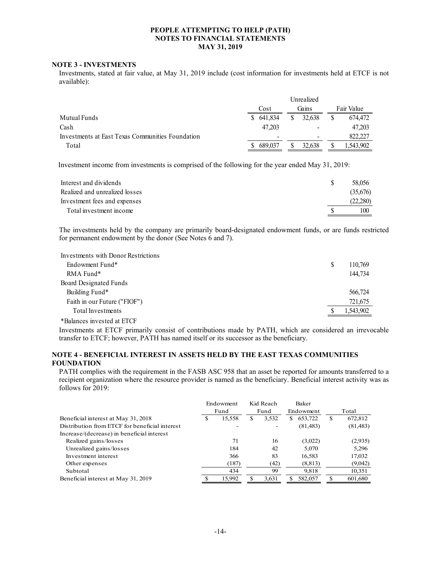# **NOTE 3 - INVESTMENTS**

Investments, stated at fair value, at May 31, 2019 include (cost information for investments held at ETCF is not available):

|                                                  | Unrealized    |   |                          |  |            |  |
|--------------------------------------------------|---------------|---|--------------------------|--|------------|--|
|                                                  | Gains<br>Cost |   |                          |  | Fair Value |  |
| Mutual Funds                                     | \$ 641,834    | S | 32.638                   |  | 674.472    |  |
| Cash                                             | 47.203        |   | $\overline{\phantom{a}}$ |  | 47.203     |  |
| Investments at Fast Texas Communities Foundation | -             |   | $\overline{\phantom{0}}$ |  | 822,227    |  |
| Total                                            | 689,037       |   | 32.638                   |  | 1.543.902  |  |

Investment income from investments is comprised of the following for the year ended May 31, 2019:

| Interest and dividends         | 58.056   |
|--------------------------------|----------|
| Realized and unrealized losses | (35,676) |
| Investment fees and expenses   | (22.280) |
| Total investment income        | 100      |

The investments held by the company are primarily board-designated endowment funds, or are funds restricted for permanent endowment by the donor (See Notes 6 and 7).

| Investments with Donor Restrictions |               |
|-------------------------------------|---------------|
| Endowment Fund*                     | \$<br>110,769 |
| RMA Fund*                           | 144,734       |
| Board Designated Funds              |               |
| Building Fund*                      | 566,724       |
| Faith in our Future ("FIOF")        | 721,675       |
| Total Investments                   | 1,543,902     |
| *Balances invested at ETCF          |               |

Investments at ETCF primarily consist of contributions made by PATH, which are considered an irrevocable transfer to ETCF; however, PATH has named itself or its successor as the beneficiary.

# **NOTE 4 - BENEFICIAL INTEREST IN ASSETS HELD BY THE EAST TEXAS COMMUNITIES FOUNDATION**

PATH complies with the requirement in the FASB ASC 958 that an asset be reported for amounts transferred to a recipient organization where the resource provider is named as the beneficiary. Beneficial interest activity was as follows for 2019:

|                                                | Endowment |        | Kid Reach |       | Baker |           |   |           |
|------------------------------------------------|-----------|--------|-----------|-------|-------|-----------|---|-----------|
|                                                |           | Fund   |           | Fund  |       | Endowment |   | Total     |
| Beneficial interest at May 31, 2018            | S         | 15,558 | S         | 3,532 | S.    | 653,722   | S | 672,812   |
| Distribution from ETCF for beneficial interest |           |        |           |       |       | (81, 483) |   | (81, 483) |
| Increase/(decrease) in beneficial interest     |           |        |           |       |       |           |   |           |
| Realized gains/losses                          |           | 71     |           | 16    |       | (3,022)   |   | (2,935)   |
| Unrealized gains/losses                        |           | 184    |           | 42    |       | 5,070     |   | 5,296     |
| Investment interest                            |           | 366    |           | 83    |       | 16,583    |   | 17,032    |
| Other expenses                                 |           | (187)  |           | (42)  |       | (8, 813)  |   | (9,042)   |
| Subtotal                                       |           | 434    |           | 99    |       | 9,818     |   | 10,351    |
| Beneficial interest at May 31, 2019            |           | 15.992 |           | 3,631 |       | 582,057   |   | 601,680   |
|                                                |           |        |           |       |       |           |   |           |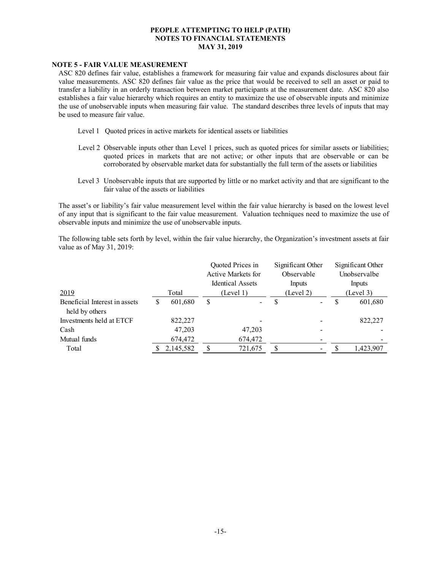### **NOTE 5 - FAIR VALUE MEASUREMENT**

ASC 820 defines fair value, establishes a framework for measuring fair value and expands disclosures about fair value measurements. ASC 820 defines fair value as the price that would be received to sell an asset or paid to transfer a liability in an orderly transaction between market participants at the measurement date. ASC 820 also establishes a fair value hierarchy which requires an entity to maximize the use of observable inputs and minimize the use of unobservable inputs when measuring fair value. The standard describes three levels of inputs that may be used to measure fair value.

- Level 1 Quoted prices in active markets for identical assets or liabilities
- Level 2 Observable inputs other than Level 1 prices, such as quoted prices for similar assets or liabilities; quoted prices in markets that are not active; or other inputs that are observable or can be corroborated by observable market data for substantially the full term of the assets or liabilities
- Level 3 Unobservable inputs that are supported by little or no market activity and that are significant to the fair value of the assets or liabilities

The asset's or liability's fair value measurement level within the fair value hierarchy is based on the lowest level of any input that is significant to the fair value measurement. Valuation techniques need to maximize the use of observable inputs and minimize the use of unobservable inputs.

The following table sets forth by level, within the fair value hierarchy, the Organization's investment assets at fair value as of May 31, 2019:

|                                                 |   |           | Quoted Prices in<br>Significant Other<br>Active Markets for<br>Observable<br><b>Identical Assets</b><br>Inputs |           |           | Significant Other<br>Unobservalbe<br>Inputs |           |
|-------------------------------------------------|---|-----------|----------------------------------------------------------------------------------------------------------------|-----------|-----------|---------------------------------------------|-----------|
| 2019                                            |   | Total     |                                                                                                                | (Level 1) | (Level 2) |                                             | (Level 3) |
| Beneficial Interest in assets<br>held by others | J | 601,680   | \$                                                                                                             |           |           | Ф                                           | 601,680   |
| Investments held at ETCF                        |   | 822,227   |                                                                                                                |           |           |                                             | 822,227   |
| Cash                                            |   | 47,203    |                                                                                                                | 47,203    |           |                                             |           |
| Mutual funds                                    |   | 674,472   |                                                                                                                | 674,472   |           |                                             |           |
| Total                                           |   | 2,145,582 |                                                                                                                | 721,675   |           |                                             | 1,423,907 |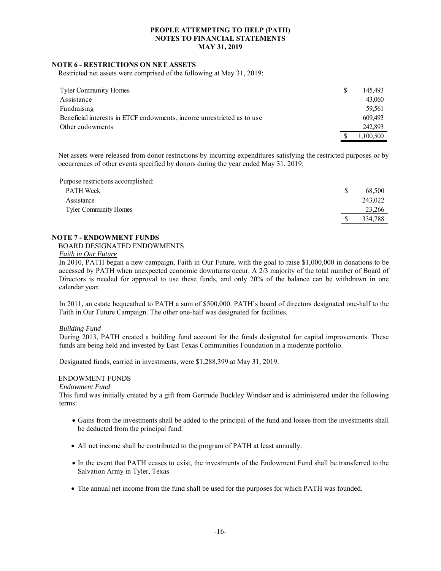## **NOTE 6 - RESTRICTIONS ON NET ASSETS**

Restricted net assets were comprised of the following at May 31, 2019:

| Tyler Community Homes                                                  | S | 145,493   |
|------------------------------------------------------------------------|---|-----------|
| Assistance                                                             |   | 43,060    |
| Fundraising                                                            |   | 59.561    |
| Beneficial interests in ETCF endowments, income unrestricted as to use |   | 609,493   |
| Other endowments                                                       |   | 242,893   |
|                                                                        |   | 1,100,500 |

 Net assets were released from donor restrictions by incurring expenditures satisfying the restricted purposes or by occurrences of other events specified by donors during the year ended May 31, 2019:

| Purpose restrictions accomplished: |         |
|------------------------------------|---------|
| <b>PATH Week</b>                   | 68,500  |
| Assistance                         | 243,022 |
| <b>Tyler Community Homes</b>       | 23,266  |
|                                    | 334.788 |

## **NOTE 7 - ENDOWMENT FUNDS**

# BOARD DESIGNATED ENDOWMENTS

## *Faith in Our Future*

In 2010, PATH began a new campaign, Faith in Our Future, with the goal to raise \$1,000,000 in donations to be accessed by PATH when unexpected economic downturns occur. A 2/3 majority of the total number of Board of Directors is needed for approval to use these funds, and only 20% of the balance can be withdrawn in one calendar year.

In 2011, an estate bequeathed to PATH a sum of \$500,000. PATH's board of directors designated one-half to the Faith in Our Future Campaign. The other one-half was designated for facilities.

### *Building Fund*

During 2013, PATH created a building fund account for the funds designated for capital improvements. These funds are being held and invested by East Texas Communities Foundation in a moderate portfolio.

Designated funds, carried in investments, were \$1,288,399 at May 31, 2019.

# ENDOWMENT FUNDS

## *Endowment Fund*

This fund was initially created by a gift from Gertrude Buckley Windsor and is administered under the following terms:

- Gains from the investments shall be added to the principal of the fund and losses from the investments shall be deducted from the principal fund.
- All net income shall be contributed to the program of PATH at least annually.
- In the event that PATH ceases to exist, the investments of the Endowment Fund shall be transferred to the Salvation Army in Tyler, Texas.
- The annual net income from the fund shall be used for the purposes for which PATH was founded.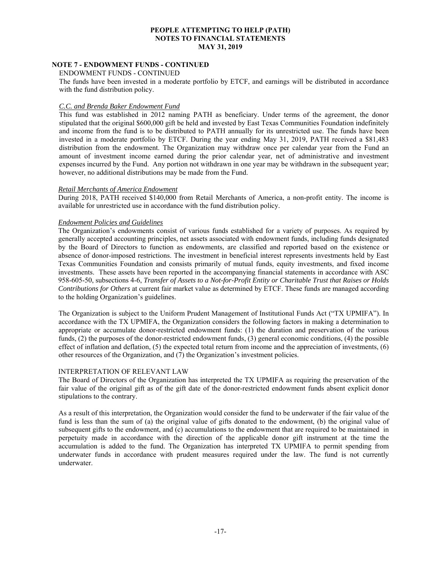# **NOTE 7 - ENDOWMENT FUNDS - CONTINUED**

ENDOWMENT FUNDS - CONTINUED

The funds have been invested in a moderate portfolio by ETCF, and earnings will be distributed in accordance with the fund distribution policy.

## *C.C. and Brenda Baker Endowment Fund*

This fund was established in 2012 naming PATH as beneficiary. Under terms of the agreement, the donor stipulated that the original \$600,000 gift be held and invested by East Texas Communities Foundation indefinitely and income from the fund is to be distributed to PATH annually for its unrestricted use. The funds have been invested in a moderate portfolio by ETCF. During the year ending May 31, 2019, PATH received a \$81,483 distribution from the endowment. The Organization may withdraw once per calendar year from the Fund an amount of investment income earned during the prior calendar year, net of administrative and investment expenses incurred by the Fund. Any portion not withdrawn in one year may be withdrawn in the subsequent year; however, no additional distributions may be made from the Fund.

### *Retail Merchants of America Endowment*

During 2018, PATH received \$140,000 from Retail Merchants of America, a non-profit entity. The income is available for unrestricted use in accordance with the fund distribution policy.

## *Endowment Policies and Guidelines*

The Organization's endowments consist of various funds established for a variety of purposes. As required by generally accepted accounting principles, net assets associated with endowment funds, including funds designated by the Board of Directors to function as endowments, are classified and reported based on the existence or absence of donor-imposed restrictions. The investment in beneficial interest represents investments held by East Texas Communities Foundation and consists primarily of mutual funds, equity investments, and fixed income investments. These assets have been reported in the accompanying financial statements in accordance with ASC 958-605-50, subsections 4-6, *Transfer of Assets to a Not-for-Profit Entity or Charitable Trust that Raises or Holds Contributions for Others* at current fair market value as determined by ETCF. These funds are managed according to the holding Organization's guidelines.

The Organization is subject to the Uniform Prudent Management of Institutional Funds Act ("TX UPMIFA"). In accordance with the TX UPMIFA, the Organization considers the following factors in making a determination to appropriate or accumulate donor-restricted endowment funds: (1) the duration and preservation of the various funds, (2) the purposes of the donor-restricted endowment funds, (3) general economic conditions, (4) the possible effect of inflation and deflation, (5) the expected total return from income and the appreciation of investments, (6) other resources of the Organization, and (7) the Organization's investment policies.

### INTERPRETATION OF RELEVANT LAW

The Board of Directors of the Organization has interpreted the TX UPMIFA as requiring the preservation of the fair value of the original gift as of the gift date of the donor-restricted endowment funds absent explicit donor stipulations to the contrary.

As a result of this interpretation, the Organization would consider the fund to be underwater if the fair value of the fund is less than the sum of (a) the original value of gifts donated to the endowment, (b) the original value of subsequent gifts to the endowment, and (c) accumulations to the endowment that are required to be maintained in perpetuity made in accordance with the direction of the applicable donor gift instrument at the time the accumulation is added to the fund. The Organization has interpreted TX UPMIFA to permit spending from underwater funds in accordance with prudent measures required under the law. The fund is not currently underwater.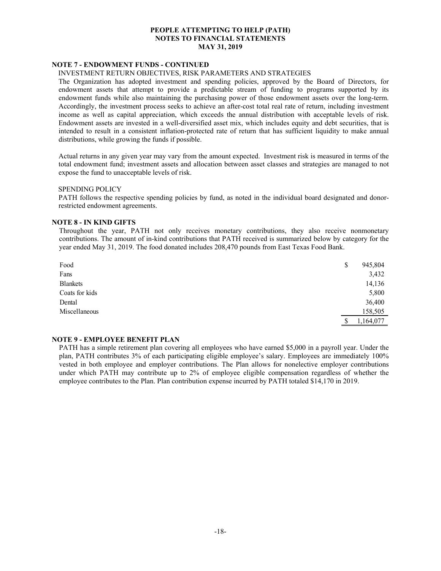## **NOTE 7 - ENDOWMENT FUNDS - CONTINUED**

## INVESTMENT RETURN OBJECTIVES, RISK PARAMETERS AND STRATEGIES

The Organization has adopted investment and spending policies, approved by the Board of Directors, for endowment assets that attempt to provide a predictable stream of funding to programs supported by its endowment funds while also maintaining the purchasing power of those endowment assets over the long-term. Accordingly, the investment process seeks to achieve an after-cost total real rate of return, including investment income as well as capital appreciation, which exceeds the annual distribution with acceptable levels of risk. Endowment assets are invested in a well-diversified asset mix, which includes equity and debt securities, that is intended to result in a consistent inflation-protected rate of return that has sufficient liquidity to make annual distributions, while growing the funds if possible.

Actual returns in any given year may vary from the amount expected. Investment risk is measured in terms of the total endowment fund; investment assets and allocation between asset classes and strategies are managed to not expose the fund to unacceptable levels of risk.

#### SPENDING POLICY

PATH follows the respective spending policies by fund, as noted in the individual board designated and donorrestricted endowment agreements.

### **NOTE 8 - IN KIND GIFTS**

Throughout the year, PATH not only receives monetary contributions, they also receive nonmonetary contributions. The amount of in-kind contributions that PATH received is summarized below by category for the year ended May 31, 2019. The food donated includes 208,470 pounds from East Texas Food Bank.

| Food            | \$<br>945,804   |
|-----------------|-----------------|
| Fans            | 3,432           |
| <b>Blankets</b> | 14,136          |
| Coats for kids  | 5,800           |
| Dental          | 36,400          |
| Miscellaneous   | 158,505         |
|                 | \$<br>1,164,077 |

## **NOTE 9 - EMPLOYEE BENEFIT PLAN**

PATH has a simple retirement plan covering all employees who have earned \$5,000 in a payroll year. Under the plan, PATH contributes 3% of each participating eligible employee's salary. Employees are immediately 100% vested in both employee and employer contributions. The Plan allows for nonelective employer contributions under which PATH may contribute up to 2% of employee eligible compensation regardless of whether the employee contributes to the Plan. Plan contribution expense incurred by PATH totaled \$14,170 in 2019.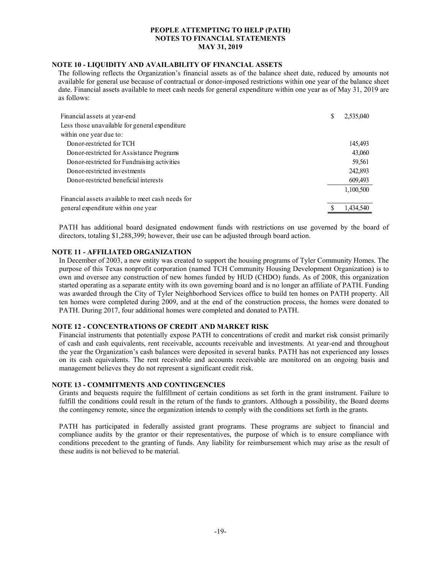## **NOTE 10 - LIQUIDITY AND AVAILABILITY OF FINANCIAL ASSETS**

The following reflects the Organization's financial assets as of the balance sheet date, reduced by amounts not available for general use because of contractual or donor-imposed restrictions within one year of the balance sheet date. Financial assets available to meet cash needs for general expenditure within one year as of May 31, 2019 are as follows:

| Financial assets at year-end                      | 2,535,040 |
|---------------------------------------------------|-----------|
| Less those unavailable for general expenditure    |           |
| within one year due to:                           |           |
| Donor-restricted for TCH                          | 145,493   |
| Donor-restricted for Assistance Programs          | 43,060    |
| Donor-restricted for Fundraising activities       | 59,561    |
| Donor-restricted investments                      | 242,893   |
| Donor-restricted beneficial interests             | 609,493   |
|                                                   | 1,100,500 |
| Financial assets available to meet cash needs for |           |
| general expenditure within one year               | 1.434,540 |

PATH has additional board designated endowment funds with restrictions on use governed by the board of directors, totaling \$1,288,399; however, their use can be adjusted through board action.

## **NOTE 11 - AFFILIATED ORGANIZATION**

In December of 2003, a new entity was created to support the housing programs of Tyler Community Homes. The purpose of this Texas nonprofit corporation (named TCH Community Housing Development Organization) is to own and oversee any construction of new homes funded by HUD (CHDO) funds. As of 2008, this organization started operating as a separate entity with its own governing board and is no longer an affiliate of PATH. Funding was awarded through the City of Tyler Neighborhood Services office to build ten homes on PATH property. All ten homes were completed during 2009, and at the end of the construction process, the homes were donated to PATH. During 2017, four additional homes were completed and donated to PATH.

# **NOTE 12 - CONCENTRATIONS OF CREDIT AND MARKET RISK**

Financial instruments that potentially expose PATH to concentrations of credit and market risk consist primarily of cash and cash equivalents, rent receivable, accounts receivable and investments. At year-end and throughout the year the Organization's cash balances were deposited in several banks. PATH has not experienced any losses on its cash equivalents. The rent receivable and accounts receivable are monitored on an ongoing basis and management believes they do not represent a significant credit risk.

### **NOTE 13 - COMMITMENTS AND CONTINGENCIES**

Grants and bequests require the fulfillment of certain conditions as set forth in the grant instrument. Failure to fulfill the conditions could result in the return of the funds to grantors. Although a possibility, the Board deems the contingency remote, since the organization intends to comply with the conditions set forth in the grants.

PATH has participated in federally assisted grant programs. These programs are subject to financial and compliance audits by the grantor or their representatives, the purpose of which is to ensure compliance with conditions precedent to the granting of funds. Any liability for reimbursement which may arise as the result of these audits is not believed to be material.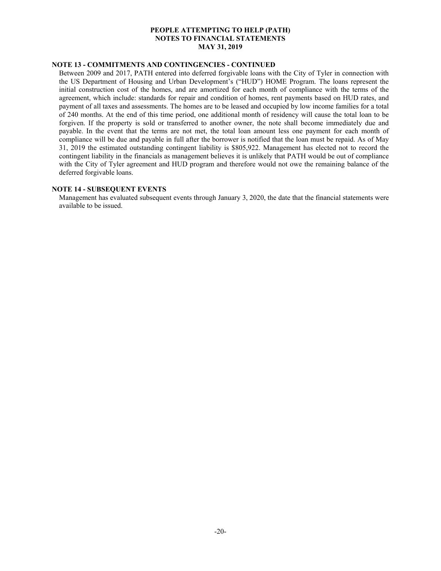# **NOTE 13 - COMMITMENTS AND CONTINGENCIES - CONTINUED**

Between 2009 and 2017, PATH entered into deferred forgivable loans with the City of Tyler in connection with the US Department of Housing and Urban Development's ("HUD") HOME Program. The loans represent the initial construction cost of the homes, and are amortized for each month of compliance with the terms of the agreement, which include: standards for repair and condition of homes, rent payments based on HUD rates, and payment of all taxes and assessments. The homes are to be leased and occupied by low income families for a total of 240 months. At the end of this time period, one additional month of residency will cause the total loan to be forgiven. If the property is sold or transferred to another owner, the note shall become immediately due and payable. In the event that the terms are not met, the total loan amount less one payment for each month of compliance will be due and payable in full after the borrower is notified that the loan must be repaid. As of May 31, 2019 the estimated outstanding contingent liability is \$805,922. Management has elected not to record the contingent liability in the financials as management believes it is unlikely that PATH would be out of compliance with the City of Tyler agreement and HUD program and therefore would not owe the remaining balance of the deferred forgivable loans.

### **NOTE 14 - SUBSEQUENT EVENTS**

Management has evaluated subsequent events through January 3, 2020, the date that the financial statements were available to be issued.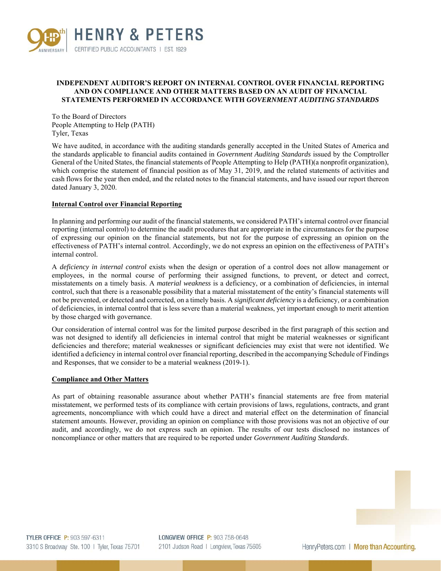

# **INDEPENDENT AUDITOR'S REPORT ON INTERNAL CONTROL OVER FINANCIAL REPORTING AND ON COMPLIANCE AND OTHER MATTERS BASED ON AN AUDIT OF FINANCIAL STATEMENTS PERFORMED IN ACCORDANCE WITH** *GOVERNMENT AUDITING STANDARDS*

To the Board of Directors People Attempting to Help (PATH) Tyler, Texas

We have audited, in accordance with the auditing standards generally accepted in the United States of America and the standards applicable to financial audits contained in *Government Auditing Standards* issued by the Comptroller General of the United States, the financial statements of People Attempting to Help (PATH)(a nonprofit organization), which comprise the statement of financial position as of May 31, 2019, and the related statements of activities and cash flows for the year then ended, and the related notes to the financial statements, and have issued our report thereon dated January 3, 2020.

# **Internal Control over Financial Reporting**

In planning and performing our audit of the financial statements, we considered PATH's internal control over financial reporting (internal control) to determine the audit procedures that are appropriate in the circumstances for the purpose of expressing our opinion on the financial statements, but not for the purpose of expressing an opinion on the effectiveness of PATH's internal control. Accordingly, we do not express an opinion on the effectiveness of PATH's internal control.

A *deficiency in internal control* exists when the design or operation of a control does not allow management or employees, in the normal course of performing their assigned functions, to prevent, or detect and correct, misstatements on a timely basis. A *material weakness* is a deficiency, or a combination of deficiencies, in internal control, such that there is a reasonable possibility that a material misstatement of the entity's financial statements will not be prevented, or detected and corrected, on a timely basis. A *significant deficiency* is a deficiency, or a combination of deficiencies, in internal control that is less severe than a material weakness, yet important enough to merit attention by those charged with governance.

Our consideration of internal control was for the limited purpose described in the first paragraph of this section and was not designed to identify all deficiencies in internal control that might be material weaknesses or significant deficiencies and therefore; material weaknesses or significant deficiencies may exist that were not identified. We identified a deficiency in internal control over financial reporting, described in the accompanying Schedule of Findings and Responses, that we consider to be a material weakness (2019-1).

# **Compliance and Other Matters**

As part of obtaining reasonable assurance about whether PATH's financial statements are free from material misstatement, we performed tests of its compliance with certain provisions of laws, regulations, contracts, and grant agreements, noncompliance with which could have a direct and material effect on the determination of financial statement amounts. However, providing an opinion on compliance with those provisions was not an objective of our audit, and accordingly, we do not express such an opinion. The results of our tests disclosed no instances of noncompliance or other matters that are required to be reported under *Government Auditing Standards*.

**LONGVIEW OFFICE P: 903 758-0648** 2101 Judson Road | Longview, Texas 75605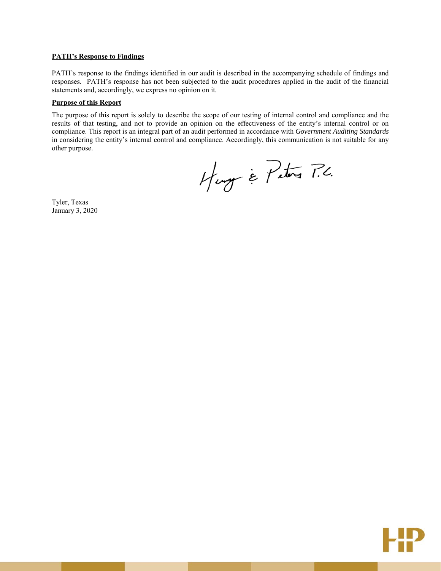## **PATH's Response to Findings**

PATH's response to the findings identified in our audit is described in the accompanying schedule of findings and responses. PATH's response has not been subjected to the audit procedures applied in the audit of the financial statements and, accordingly, we express no opinion on it.

### **Purpose of this Report**

The purpose of this report is solely to describe the scope of our testing of internal control and compliance and the results of that testing, and not to provide an opinion on the effectiveness of the entity's internal control or on compliance. This report is an integral part of an audit performed in accordance with *Government Auditing Standards* in considering the entity's internal control and compliance. Accordingly, this communication is not suitable for any other purpose.

Hug & Peters P.C.

Tyler, Texas January 3, 2020

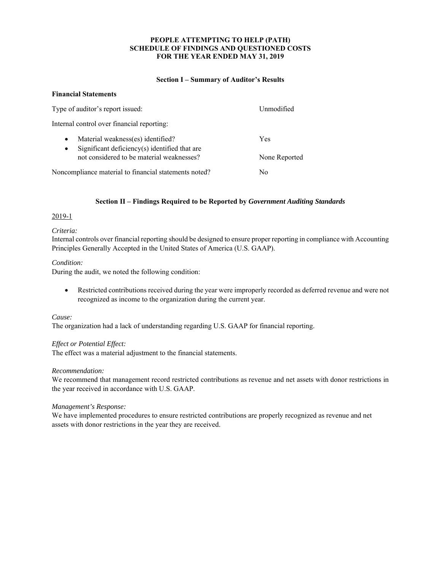# **PEOPLE ATTEMPTING TO HELP (PATH) SCHEDULE OF FINDINGS AND QUESTIONED COSTS FOR THE YEAR ENDED MAY 31, 2019**

## **Section I – Summary of Auditor's Results**

## **Financial Statements**

| Type of auditor's report issued:                                                                        | Unmodified    |
|---------------------------------------------------------------------------------------------------------|---------------|
| Internal control over financial reporting:                                                              |               |
| Material weakness(es) identified?<br>$\bullet$                                                          | <b>Yes</b>    |
| Significant deficiency(s) identified that are<br>$\bullet$<br>not considered to be material weaknesses? | None Reported |
| Noncompliance material to financial statements noted?                                                   | No            |

## **Section II – Findings Required to be Reported by** *Government Auditing Standards*

## 2019-1

# *Criteria:*

Internal controls over financial reporting should be designed to ensure proper reporting in compliance with Accounting Principles Generally Accepted in the United States of America (U.S. GAAP).

## *Condition:*

During the audit, we noted the following condition:

 Restricted contributions received during the year were improperly recorded as deferred revenue and were not recognized as income to the organization during the current year.

### *Cause:*

The organization had a lack of understanding regarding U.S. GAAP for financial reporting.

# *Effect or Potential Effect:*

The effect was a material adjustment to the financial statements.

# *Recommendation:*

We recommend that management record restricted contributions as revenue and net assets with donor restrictions in the year received in accordance with U.S. GAAP.

### *Management's Response:*

We have implemented procedures to ensure restricted contributions are properly recognized as revenue and net assets with donor restrictions in the year they are received.